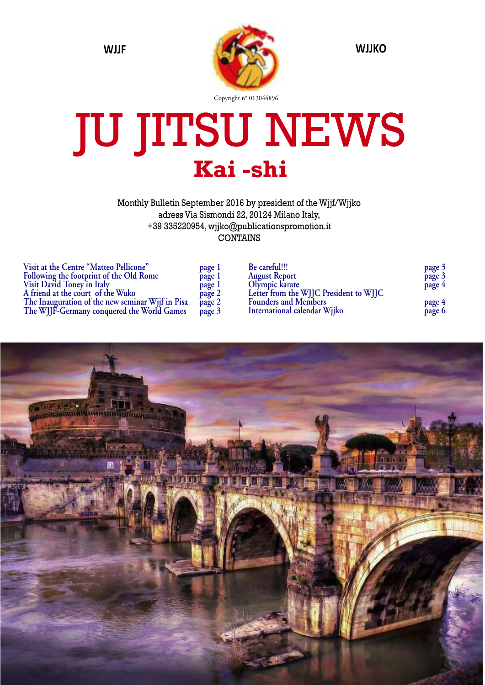

# JU JITSU NEWS **Kai -shi**

Monthly Bulletin September 2016 by president of the Wjjf/Wjjko adress Via Sismondi 22, 20124 Milano Italy, +39 335220954, wjjko@publicationspromotion.it CONTAINS

| Visit at the Centre "Matteo Pellicone"           | page 1 |
|--------------------------------------------------|--------|
| Following the footprint of the Old Rome          | page 1 |
| Visit David Toney'in Italy                       | page 1 |
| A friend at the court of the Wuko                | page 2 |
| The Inauguration of the new seminar Wjjf in Pisa | page 2 |
| The WJJF-Germany conquered the World Games       | page 3 |

| Be careful!!!                          | page 3 |
|----------------------------------------|--------|
| <b>August Report</b>                   | page 3 |
| Olympic karate                         | page 4 |
| Letter from the WJJC President to WJJC |        |
| <b>Founders and Members</b>            | page 4 |
| International calendar Wjjko           | page 6 |

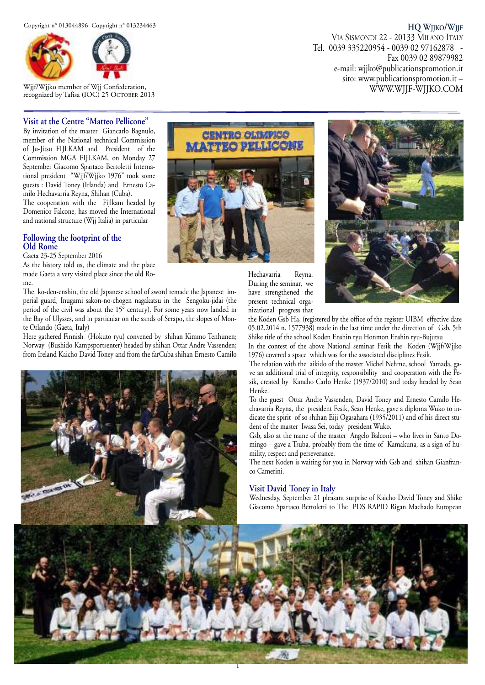

Wjjf/Wjjko member of Wjj Confederation, recognized by Tafisa (IOC) 25 OCTOBER 2013

#### **Visit at the Centre "Matteo Pellicone"**

By invitation of the master Giancarlo Bagnulo, member of the National technical Commission of Ju-Jitsu FIJLKAM and President of the Commission MGA FIJLKAM, on Monday 27 September Giacomo Spartaco Bertoletti International president "Wjjf/Wjjko 1976" took some guests : David Toney (Irlanda) and Ernesto Camilo Hechavarria Reyna, Shihan (Cuba).

The cooperation with the Fijlkam headed by Domenico Falcone, has moved the International and national structure (Wjj Italia) in particular

#### **Following the footprint of the Old Rome**

Gaeta 23-25 September 2016

As the history told us, the climate and the place made Gaeta a very visited place since the old Rome.

The ko-den-enshin, the old Japanese school of sword remade the Japanese imperial guard, Inugami sakon-no-chogen nagakatsu in the Sengoku-jidai (the period of the civil was about the 15° century). For some years now landed in the Bay of Ulysses, and in particular on the sands of Serapo, the slopes of Monte Orlando (Gaeta, Italy)

Here gathered Finnish (Hokuto ryu) convened by shihan Kimmo Tenhunen; Norway (Bushido Kampsportsenter) headed by shihan Ottar Andre Vassenden; from Ireland Kaicho David Toney and from the farCuba shihan Ernesto Camilo





Hechavarria Reyna. During the seminar, we have strengthened the



present technical organizational progress that the Koden Gsb Ha, (registered by the office of the register UIBM effective date 05.02.2014 n. 1577938) made in the last time under the direction of Gsb, 5th Shike title of the school Koden Enshin ryu Honmon Enshin ryu-Bujutsu

In the contest of the above National seminar Fesik the Koden (Wjjf/Wjjko 1976) covered a space which was for the associated disciplines Fesik.

The relation with the aikido of the master Michel Nehme, school Yamada, gave an additional trial of integrity, responsibility and cooperation with the Fesik, created by Kancho Carlo Henke (1937/2010) and today headed by Sean Henke.

To the guest Ottar Andre Vassenden, David Toney and Ernesto Camilo Hechavarria Reyna, the president Fesik, Sean Henke, gave a diploma Wuko to indicate the spirit of so shihan Eiji Ogasahara (1935/2011) and of his direct student of the master Iwasa Sei, today president Wuko.

Gsb, also at the name of the master Angelo Balconi – who lives in Santo Domingo – gave a Tsuba, probably from the time of Kamakuna, as a sign of humility, respect and perseverance.

The next Koden is waiting for you in Norway with Gsb and shihan Gianfranco Camerini.

#### **Visit David Toney in Italy**

Wednesday, September 21 pleasant surprise of Kaicho David Toney and Shike Giacomo Spartaco Bertoletti to The PDS RAPID Rigan Machado European



#### **HQ WJJKO/WJJF**

VIA SISMONDI 22 - 20133 MILANO ITALY Tel. 0039 335220954 - 0039 02 97162878 - Fax 0039 02 89879982 e-mail: wjjko@publicationspromotion.it sito: www.publicationspromotion.it – WWW.WJJF-WJJKO.COM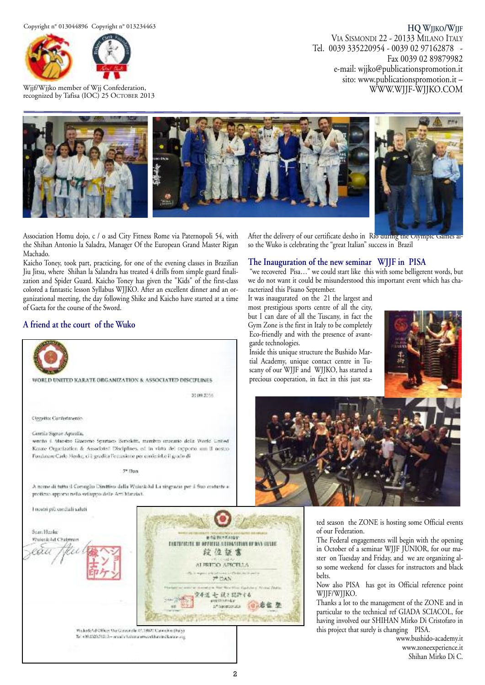

Wjjf/Wjjko member of Wjj Confederation, recognized by Tafisa (IOC) 25 OCTOBER 2013

**HQ WJJKO/WJJF** VIA SISMONDI 22 - 20133 MILANO ITALY Tel. 0039 335220954 - 0039 02 97162878 - Fax 0039 02 89879982 e-mail: wjjko@publicationspromotion.it sito: www.publicationspromotion.it – WWW.WJJF-WJJKO.COM



Association Homu dojo, c / o asd City Fitness Rome via Paternopoli 54, with the Shihan Antonio la Saladra, Manager Of the European Grand Master Rigan Machado.

Kaicho Toney, took part, practicing, for one of the evening classes in Brazilian Jiu Jitsu, where Shihan la Salandra has treated 4 drills from simple guard finalization and Spider Guard. Kaicho Toney has given the "Kids" of the first-class colored a fantastic lesson Syllabus WJJKO. After an excellent dinner and an organizational meeting, the day following Shike and Kaicho have started at a time of Gaeta for the course of the Sword.

#### **A friend at the court of the Wuko**



After the delivery of our certificate desho in Rio during the Olympic Games a so the Wuko is celebrating the "great Italian" success in Brazil

#### **The Inauguration of the new seminar WJJF in PISA**

"we recovered Pisa…" we could start like this with some belligerent words, but we do not want it could be misunderstood this important event which has characterized this Pisano September.

It was inaugurated on the 21 the largest and most prestigious sports centre of all the city, but I can dare of all the Tuscany, in fact the Gym Zone is the first in Italy to be completely Eco-friendly and with the presence of avantgarde technologies.

Inside this unique structure the Bushido Martial Academy, unique contact centre in Tuscany of our WJJF and WJJKO, has started a precious cooperation, in fact in this just sta-





ted season the ZONE is hosting some Official events of our Federation.

The Federal engagements will begin with the opening in October of a seminar WJJF JUNIOR, for our master on Tuesday and Friday, and we are organizing also some weekend for classes for instructors and black belts.

Now also PISA has got its Official reference point WJJF/WJJKO.

Thanks a lot to the management of the ZONE and in particular to the technical ref GIADA SCIACOL, for having involved our SHIHAN Mirko Di Cristofaro in this project that surely is changing PISA.

> www.bushido-academy.it www.zoneexperience.it Shihan Mirko Di C.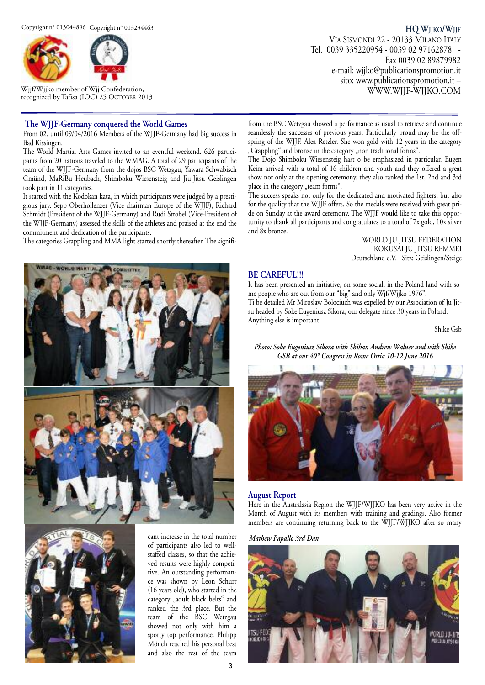

Wjjf/Wjjko member of Wjj Confederation, recognized by Tafisa (IOC) 25 OCTOBER 2013

#### **The WJJF-Germany conquered the World Games**

From 02. until 09/04/2016 Members of the WJJF-Germany had big success in Bad Kissingen.

The World Martial Arts Games invited to an eventful weekend. 626 participants from 20 nations traveled to the WMAG. A total of 29 participants of the team of the WJJF-Germany from the dojos BSC Wetzgau, Yawara Schwabisch Gmünd, MaRiBu Heubach, Shimboku Wiesensteig and Jiu-Jitsu Geislingen took part in 11 categories.

It started with the Kodokan kata, in which participants were judged by a prestigious jury. Sepp Oberhollenzer (Vice chairman Europe of the WJJF), Richard Schmidt (President of the WJJF-Germany) and Rudi Strobel (Vice-President of the WJJF-Germany) assessed the skills of the athletes and praised at the end the commitment and dedication of the participants.

The categories Grappling and MMA light started shortly thereafter. The signifi-





cant increase in the total number of participants also led to wellstaffed classes, so that the achieved results were highly competitive. An outstanding performance was shown by Leon Schurr (16 years old), who started in the category "adult black belts" and ranked the 3rd place. But the team of the BSC Wetzgau showed not only with him a sporty top performance. Philipp Mönch reached his personal best and also the rest of the team

**HQ WJJKO/WJJF** VIA SISMONDI 22 - 20133 MILANO ITALY Tel. 0039 335220954 - 0039 02 97162878 - Fax 0039 02 89879982 e-mail: wjjko@publicationspromotion.it sito: www.publicationspromotion.it – WWW.WJJF-WJJKO.COM

from the BSC Wetzgau showed a performance as usual to retrieve and continue seamlessly the successes of previous years. Particularly proud may be the offspring of the WJJF. Alea Retzler. She won gold with 12 years in the category "Grappling" and bronze in the category "non traditional forms".

The Dojo Shimboku Wiesensteig hast o be emphasized in particular. Eugen Keim arrived with a total of 16 children and youth and they offered a great show not only at the opening ceremony, they also ranked the 1st, 2nd and 3rd place in the category "team forms".

The success speaks not only for the dedicated and motivated fighters, but also for the quality that the WJJF offers. So the medals were received with great pride on Sunday at the award ceremony. The WJJF would like to take this opportunity to thank all participants and congratulates to a total of 7x gold, 10x silver and 8x bronze.

> WORLD JU JITSU FEDERATION KOKUSAI JU JITSU REMMEI Deutschland e.V. Sitz: Geislingen/Steige

#### **BE CAREFUL!!!**

It has been presented an initiative, on some social, in the Poland land with some people who are out from our "big" and only Wjf/Wjjko 1976". Ti be detailed Mr Miroslaw Bolociuch was expelled by our Association of Ju Jitsu headed by Soke Eugeniusz Sikora, our delegate since 30 years in Poland.

Anything else is important.

Shike Gsb

#### *Photo: Soke Eugeniusz Sikora with Shihan Andrew Walner and with Shike GSB at our 40° Congress in Rome Ostia 10-12 June 2016*



#### **August Report**

Here in the Australasia Region the WJJF/WJJKO has been very active in the Month of August with its members with training and gradings. Also former members are continuing returning back to the WJJF/WJJKO after so many

*Mathew Papallo 3rd Dan*

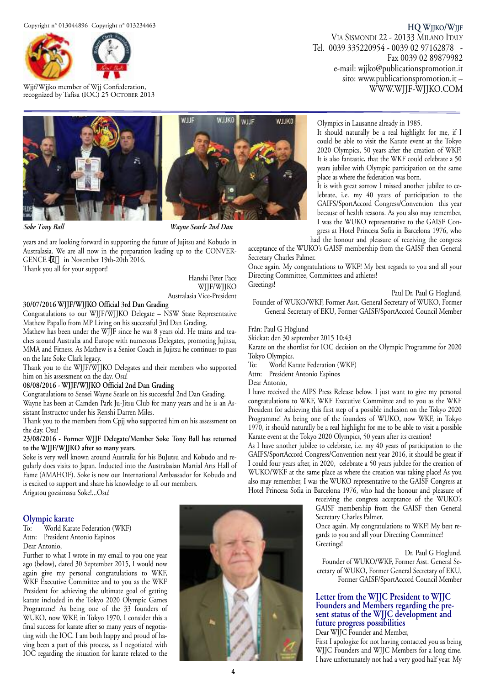

Wjjf/Wjjko member of Wjj Confederation, recognized by Tafisa (IOC) 25 OCTOBER 2013

## **HQ WJJKO/WJJF**

VIA SISMONDI 22 - 20133 MILANO ITALY Tel. 0039 335220954 - 0039 02 97162878 - Fax 0039 02 89879982 e-mail: wjjko@publicationspromotion.it sito: www.publicationspromotion.it – WWW.WJJF-WJJKO.COM



*Soke Tony Ball Wayne Searle 2nd Dan*

years and are looking forward in supporting the future of Jujitsu and Kobudo in Australasia. We are all now in the preparation leading up to the CONVER-GENCE 収 in November 19th-20th 2016.

Thank you all for your support!

Hanshi Peter Pace WJJF/WJJKO Australasia Vice-President

#### **30/07/2016 WJJF/WJJKO Official 3rd Dan Gradin**g

Congratulations to our WJJF/WJJKO Delegate - NSW State Representative Mathew Papallo from MP Living on his successful 3rd Dan Grading.

Mathew has been under the WJJF since he was 8 years old. He trains and teaches around Australia and Europe with numerous Delegates, promoting Jujitsu, MMA and Fitness. As Mathew is a Senior Coach in Jujitsu he continues to pass on the late Soke Clark legacy.

Thank you to the WJJF/WJJKO Delegates and their members who supported him on his assessment on the day. Osu!

#### **08/08/2016 - WJJF/WJJKO Official 2nd Dan Grading**

Congratulations to Sensei Wayne Searle on his successful 2nd Dan Grading.

Wayne has been at Camden Park Ju-Jitsu Club for many years and he is an Assistant Instructor under his Renshi Darren Miles.

Thank you to the members from Cpjj who supported him on his assessment on the day. Osu!

#### **23/08/2016 - Former WJJF Delegate/Member Soke Tony Ball has returned to the WJJF/WJJKO after so many years.**

Soke is very well known around Australia for his BuJutsu and Kobudo and regularly does visits to Japan. Inducted into the Australasian Martial Arts Hall of Fame (AMAHOF). Soke is now our International Ambassador for Kobudo and is excited to support and share his knowledge to all our members. Arigatou gozaimasu Soke!...Osu!

### **Olympic karate**

World Karate Federation (WKF) Attn: President Antonio Espinos Dear Antonio,

Further to what I wrote in my email to you one year ago (below), dated 30 September 2015, I would now again give my personal congratulations to WKF, WKF Executive Committee and to you as the WKF President for achieving the ultimate goal of getting karate included in the Tokyo 2020 Olympic Games Programme! As being one of the 33 founders of WUKO, now WKF, in Tokyo 1970, I consider this a final success for karate after so many years of negotiating with the IOC. I am both happy and proud of having been a part of this process, as I negotiated with IOC regarding the situation for karate related to the



Olympics in Lausanne already in 1985.

It should naturally be a real highlight for me, if I could be able to visit the Karate event at the Tokyo 2020 Olympics, 50 years after the creation of WKF! It is also fantastic, that the WKF could celebrate a 50 years jubilee with Olympic participation on the same place as where the federation was born.

It is with great sorrow I missed another jubilee to celebrate, i.e. my 40 years of participation to the GAIFS/SportAccord Congress/Convention this year because of health reasons. As you also may remember, I was the WUKO representative to the GAISF Congress at Hotel Princesa Sofia in Barcelona 1976, who

had the honour and pleasure of receiving the congress

acceptance of the WUKO's GAISF membership from the GAISF then General Secretary Charles Palmer.

Once again. My congratulations to WKF! My best regards to you and all your Directing Committee, Committees and athletes! Greetings!

#### Paul Dr. Paul G Hoglund,

Founder of WUKO/WKF, Former Asst. General Secretary of WUKO, Former General Secretary of EKU, Former GAISF/SportAccord Council Member

#### Från: Paul G Höglund

Skickat: den 30 september 2015 10:43

Karate on the shortlist for IOC decision on the Olympic Programme for 2020 Tokyo Olympics.

To: World Karate Federation (WKF)

Attn: President Antonio Espinos

Dear Antonio,

I have received the AIPS Press Release below. I just want to give my personal congratulations to WKF, WKF Executive Committee and to you as the WKF President for achieving this first step of a possible inclusion on the Tokyo 2020 Programme! As being one of the founders of WUKO, now WKF, in Tokyo 1970, it should naturally be a real highlight for me to be able to visit a possible Karate event at the Tokyo 2020 Olympics, 50 years after its creation!

As I have another jubilee to celebrate, i.e. my 40 years of participation to the GAIFS/SportAccord Congress/Convention next year 2016, it should be great if I could four years after, in 2020, celebrate a 50 years jubilee for the creation of WUKO/WKF at the same place as where the creation was taking place! As you also may remember, I was the WUKO representative to the GAISF Congress at Hotel Princesa Sofia in Barcelona 1976, who had the honour and pleasure of

> receiving the congress acceptance of the WUKO's GAISF membership from the GAISF then General Secretary Charles Palmer.

> Once again. My congratulations to WKF! My best regards to you and all your Directing Committee! Greetings!

> > Dr. Paul G Hoglund,

Founder of WUKO/WKF, Former Asst. General Secretary of WUKO, Former General Secretary of EKU, Former GAISF/SportAccord Council Member

#### **Letter from the WJJC President to WJJC Founders and Members regarding the pre sent status of the WJJC development and future progress possibilities**

#### Dear WJJC Founder and Member,

First I apologize for not having contacted you as being WJJC Founders and WJJC Members for a long time. I have unfortunately not had a very good half year. My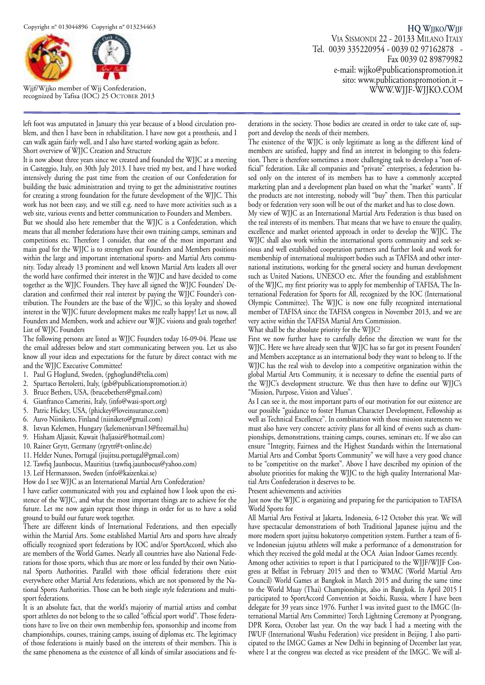

Wjjf/Wjjko member of Wjj Confederation, recognized by Tafisa (IOC) 25 OCTOBER 2013

left foot was amputated in January this year because of a blood circulation problem, and then I have been in rehabilitation. I have now got a prosthesis, and I can walk again fairly well, and I also have started working again as before.

Short overview of WJJC Creation and Structure

It is now about three years since we created and founded the WJJC at a meeting in Casteggio, Italy, on 30th July 2013. I have tried my best, and I have worked intensively during the past time from the creation of our Confederation for building the basic administration and trying to get the administrative routines for creating a strong foundation for the future development of the WJJC. This work has not been easy, and we still e.g. need to have more activities such as a web site, various events and better communication to Founders and Members.

But we should also here remember that the WJJC is a Confederation, which means that all member federations have their own training camps, seminars and competitions etc. Therefore I consider, that one of the most important and main goal for the WJJC is to strengthen our Founders and Members positions within the large and important international sports- and Martial Arts community. Today already 13 prominent and well known Martial Arts leaders all over the world have confirmed their interest in the WJJC and have decided to come together as the WJJC Founders. They have all signed the WJJC Founders' Declaration and confirmed their real interest by paying the WJJC Founder's contribution. The Founders are the base of the WJJC, so this loyalty and showed interest in the WJJC future development makes me really happy! Let us now, all Founders and Members, work and achieve our WJJC visions and goals together! List of WJJC Founders

The following persons are listed as WJJC Founders today 16-09-04. Please use the email addresses below and start communicating between you. Let us also know all your ideas and expectations for the future by direct contact with me and the WJJC Executive Committee!

- 1. Paul G Hoglund, Sweden, (pghoglund@telia.com)
- 2. Spartaco Bertoletti, Italy, (gsb@publicationspromotion.it)
- 3. Bruce Bethers, USA, (brucebethers@gmail.com)
- 4. Gianfranco Camerini, Italy, (info@wasi-sport.org)
- 5. Patric Hickey, USA, (phickey@loveinsurance.com)
- 6. Auvo Niiniketo, Finland (niiniketo@gmail.com)
- 8. Istvan Kelemen, Hungary (kelemenistvan13@freemail.hu)
- 9. Hisham Aljassir, Kuwait (haljassir@hotmail.com)
- 10. Rainer Grytt, Germany (rgrytt@t-online.de)
- 11. Helder Nunes, Portugal (jiujitsu.portugal@gmail.com)
- 12. Tawfiq Jaunbocus, Mauritius (tawfiq.jaunbocus@yahoo.com)
- 13. Leif Hermansson, Sweden (info@kaizenkai.se)
- How do I see WJJC as an International Martial Arts Confederation?

I have earlier communicated with you and explained how I look upon the existence of the WJJC, and what the most important things are to achieve for the future. Let me now again repeat those things in order for us to have a solid ground to build our future work together.

There are different kinds of International Federations, and then especially within the Martial Arts. Some established Martial Arts and sports have already officially recognized sport federations by IOC and/or SportAccord, which also are members of the World Games. Nearly all countries have also National Federations for those sports, which thus are more or less funded by their own National Sports Authorities. Parallel with those official federations there exist everywhere other Martial Arts federations, which are not sponsored by the National Sports Authorities. Those can be both single style federations and multisport federations.

It is an absolute fact, that the world's majority of martial artists and combat sport athletes do not belong to the so called "official sport world". Those federations have to live on their own membership fees, sponsorship and income from championships, courses, training camps, issuing of diplomas etc. The legitimacy of those federations is mainly based on the interests of their members. This is the same phenomena as the existence of all kinds of similar associations and fe-

**HQ WJJKO/WJJF** VIA SISMONDI 22 - 20133 MILANO ITALY Tel. 0039 335220954 - 0039 02 97162878 - Fax 0039 02 89879982 e-mail: wjjko@publicationspromotion.it sito: www.publicationspromotion.it – WWW.WJJF-WJJKO.COM

derations in the society. Those bodies are created in order to take care of, support and develop the needs of their members.

The existence of the WJJC is only legitimate as long as the different kind of members are satisfied, happy and find an interest in belonging to this federation. There is therefore sometimes a more challenging task to develop a "non official" federation. Like all companies and "private" enterprises, a federation based only on the interest of its members has to have a commonly accepted marketing plan and a development plan based on what the "market" wants". If the products are not interesting, nobody will "buy" them. Then this particular body or federation very soon will be out of the market and has to close down.

My view of WJJC as an International Martial Arts Federation is thus based on the real interests of its members. That means that we have to ensure the quality, excellence and market oriented approach in order to develop the WJJC. The WJJC shall also work within the international sports community and seek serious and well established cooperation partners and further look and work for membership of international multisport bodies such as TAFISA and other international institutions, working for the general society and human development such as United Nations, UNESCO etc. After the founding and establishment of the WJJC, my first priority was to apply for membership of TAFISA, The International Federation for Sports for All, recognized by the IOC (International Olympic Committee). The WJJC is now one fully recognized international member of TAFISA since the TAFISA congress in November 2013, and we are very active within the TAFISA Martial Arts Commission.

What shall be the absolute priority for the WJJC?

First we now further have to carefully define the direction we want for the WJJC. Here we have already seen that WJJC has so far got its present Founders' and Members acceptance as an international body they want to belong to. If the WJJC has the real wish to develop into a competitive organization within the global Martial Arts Community, it is necessary to define the essential parts of the WJJC's development structure. We thus then have to define our WJJC's "Mission, Purpose, Vision and Values".

As I can see it, the most important parts of our motivation for our existence are our possible "guidance to foster Human Character Development, Fellowship as well as Technical Excellence". In combination with those mission statements we must also have very concrete activity plans for all kind of events such as championships, demonstrations, training camps, courses, seminars etc. If we also can ensure "Integrity, Fairness and the Highest Standards within the International Martial Arts and Combat Sports Community" we will have a very good chance to be "competitive on the market". Above I have described my opinion of the absolute priorities for making the WJJC to the high quality International Martial Arts Confederation it deserves to be.

Present achievements and activities

Just now the WJJC is organizing and preparing for the participation to TAFISA World Sports for

All Martial Arts Festival at Jakarta, Indonesia, 6-12 October this year. We will have spectacular demonstrations of both Traditional Japanese jujitsu and the more modern sport jujitsu hokutoryo competition system. Further a team of five Indonesian jujutsu athletes will make a performance of a demonstration for which they received the gold medal at the OCA Asian Indoor Games recently. Among other activities to report is that I participated to the WJJF/WJJF Congress at Belfast in February 2015 and then to WMAC (World Martial Arts Council) World Games at Bangkok in March 2015 and during the same time to the World Muay (Thai) Championships, also in Bangkok. In April 2015 I participated to SportAccord Convention at Soichi, Russia, where I have been delegate for 39 years since 1976. Further I was invited guest to the IMGC (International Martial Arts Committee) Torch Lightning Ceremony at Pyongyang, DPR Korea, October last year. On the way back I had a meeting with the IWUF (International Wushu Federation) vice president in Beijing. I also participated to the IMGC Games at New Delhi in beginning of December last year, where I at the congress was elected as vice president of the IMGC. We will al-